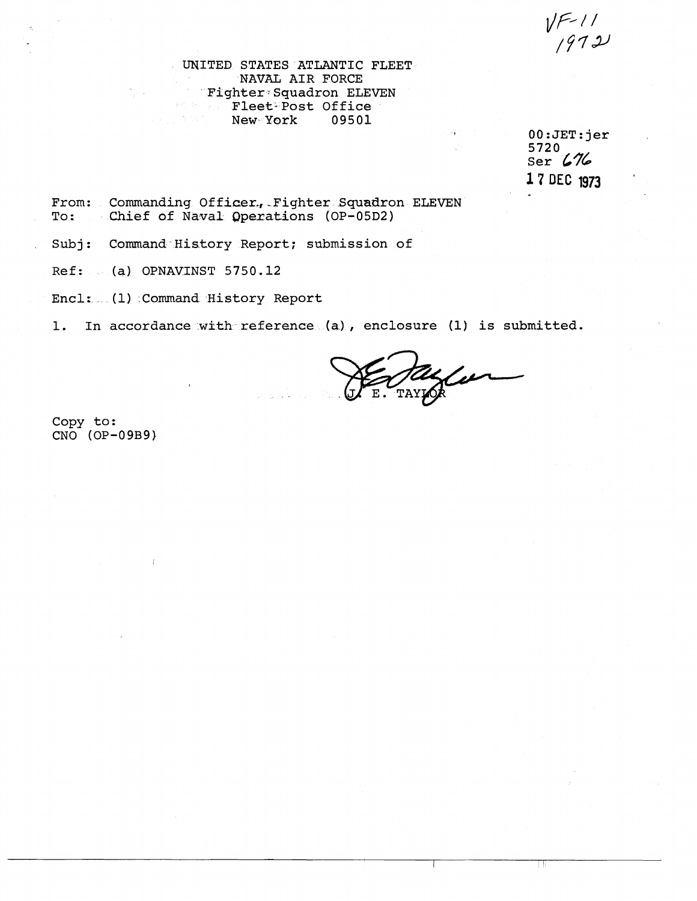$V = 11$ 

WITED STATES ATLANTIC FLEET NAVAL AIR FORCE Fighter-Squadron ELEVEN **Fleet-Post Office**<br>The **New-York 09501** New York

 $00:JET:jer$ 5720  $\frac{5.27}{5.00}$  676 17 DEC 1973

ТŢ

From: Commanding Officer, Fighter Squadron ELEVEN<br>To: Chief of Naval Operations (OP-05D2) Chief of Naval Operations (OP-05D2)

Subj: Command History Report; submission of

Ref: (a) OPNAVINST 5750.12

Encl: (1) .Command History Report

1. In accordance with reference (a), enclosure (1) is submitted.

Hazle

Copy to:  $CNO (OP-09B9)$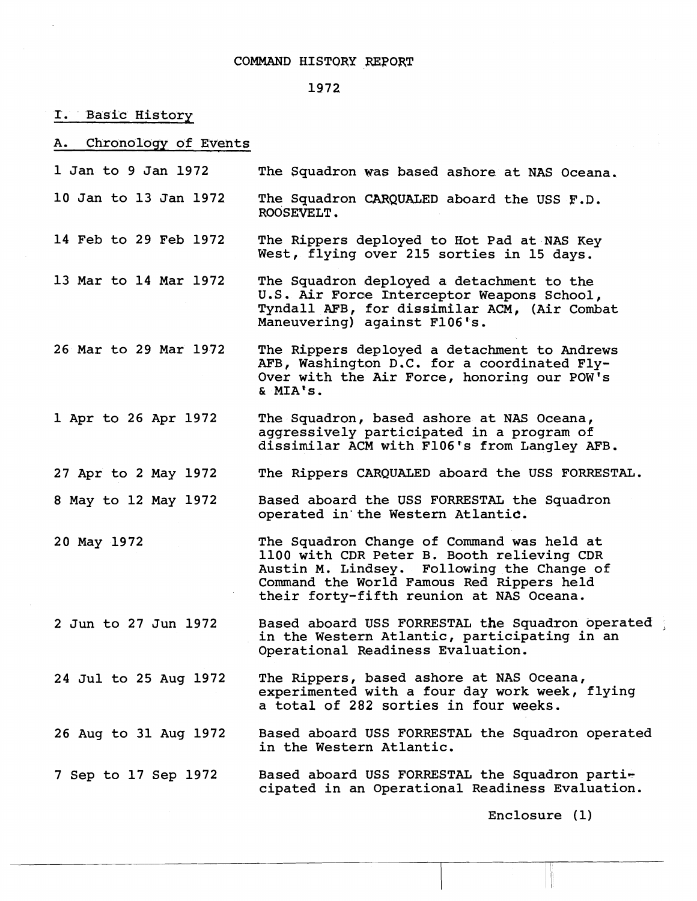## 1972

I. Basic History

A. Chronoloqy of Events

- 1 Jan to 9 Jan 1972 The Squadron was based ashore at NAS Oceana.
- 10 Jan to 13 Jan 1972 The Squadron **WQUALED** aboard the USS **F.D.**  ROOSEVELT.
- 14 Feb to 29 Feb 1972 The Rippers deployed to Hot Pad at NAS Key West, flying over 215 sorties in 15 days.
- 13 Mar to 14 Mar 1972 The Squadron deployed a detachment to the U.S. Air Force Interceptor Weapons School, Tyndall AFB, for dissimilar ACM, (Air Combat Maneuvering) against F106's.
- 26 Mar to 29 Mar 1972 The Rippers deployed a detachment to Andrews AFB, Washington D.C. for a coordinated Fly-Over with the Air Force, honoring our POW'S & MIA's.
- 1 Apr to 26 Apr 1972 The Squadron, based ashore at NAS Oceana, aggressively participated in a program of dissimilar ACM with F106's from Langley AFB.
- 27 Apr to 2 May 1972 The Rippers CARQUALED aboard the USS FORRESTAL.
- 8 May to 12 May 1972 Based aboard the USS FORRESTAL the Squadron operated in'the Western Atlantic.
- 20 May 1972 The Squadron Change of Command was held at 1100 with CDR Peter B. Booth relieving CDR Austin M. Lindsey. Following the Change of Command the World Famous Red Rippers held their forty-fifth reunion at NAS Oceana.

2 Jun to 27 Jun 1972 Based aboard WSS FORRESTAL the Squadron operated **<sup>A</sup>** in the Western Atlantic, participating in an Operational Readiness Evaluation.

24 Jul to 25 Aug 1972 The Rippers, based ashore at NAS Oceana, experimented with a four day work week, flying a total **of** 282 **sorties in four weeks.** 

26 Aug to 31 Aug 1972 Based aboard USS FORRESTAL the Squadron operated in the Western Atlantic.

7 Sep to 17 Sep 1972 Based aboard USS FORRESTAL the Squadron participated in an Operational Readiness Evaluation.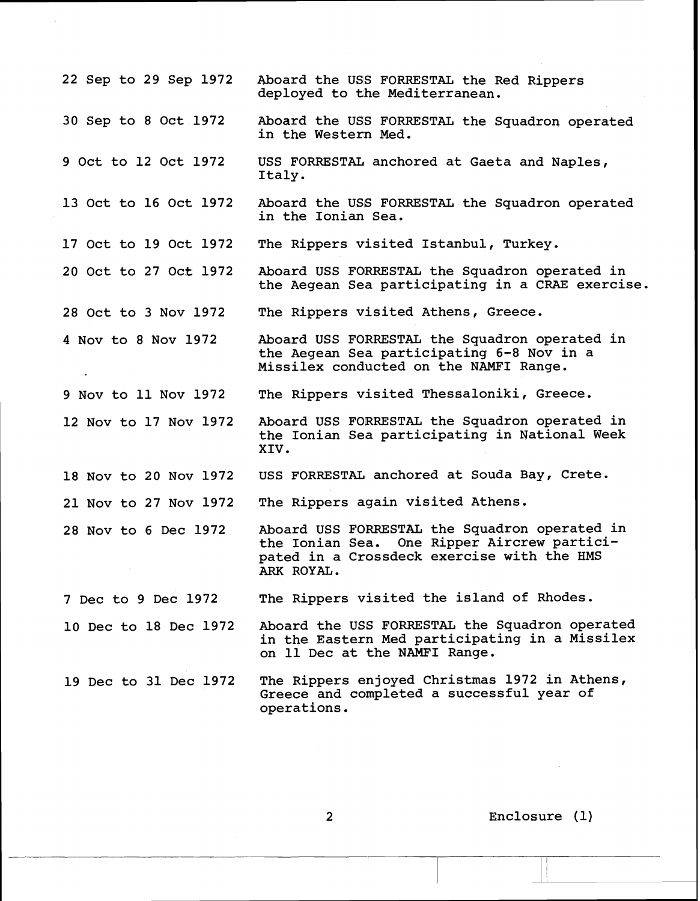22 Sep to 29 Sep 1972 30 Sep to 8 Oct 1972 9 Oct to 12 Oct 1972 13 Oct to 16 Oct 1972 17 Oct to 19 Oct 1972 20 Oct to 27 Oct 1972 28 Oct to 3 Nov 1972 4 Nov to 8 Nov 1972 9 Nov to 11 Nov 1972 12 Nov to 17 Nov 1972 18 Nov to 20 Nov 1972 21 Nov to 27 Nov 1972 28 Nov to 6 Dec 1972 7 Dec to 9 Dec 1972 10 Dec to 18 Dec 1972 19 Dec to 31 Dec 1972 Aboard the USS FORRESTAL the Red Rippers deployed to the Mediterranean. Aboard the USS FORRESTAL the Squadron operated in the Western Med. USS FORRESTAL anchored at Gaeta and Naples, Italy. Aboard the USS FORRESTAL the Squadron operated in the Ionian Sea. The Rippers visited Istanbul, Turkey. Aboard USS FORRESTAL the Squadron operated in the Aegean Sea participating in a CRAE exercise. The Rippers visited Athens, Greece. Aboard USS FORRESTAL the Squadron operated in the Aegean Sea participating 6-8 Nov in a Missilex conducted on the NAMFI Range. The Rippers visited Thessaloniki, Greece. Aboard USS FORRESTAL the Squadron operated in the Ionian Sea participating in National Week XIV. USS FORRESTAL anchored at Souda Bay, Crete. The Rippers again visited Athens. Aboard USS FORRESTAL the Squadron operated in the Ionian Sea. One Ripper Aircrew participated in a Crossdeck exercise with the HMS ARK ROYAL. The Rippers visited the island of Rhodes. Aboard the USS FORRESTAL the Squadron operated in the Eastern Med participating in a Missilex on 11 Dec at the NAMFI Range. The Rippers enjoyed Christmas 1972 in Athens, Greece and completed a successful year of operations.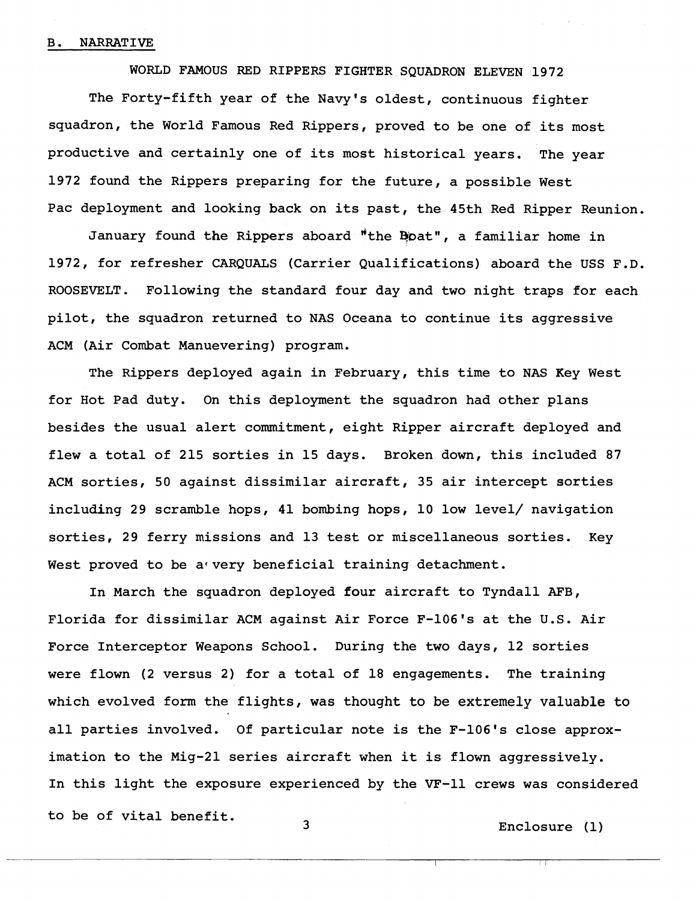## B. NARRATIVE

WORLD FAMOUS RED RIPPERS FIGHTER SQUADRON ELEVEN 1972

The Forty-fifth year of the Navy's oldest, continuous fighter squadron, the World Famous Red Rippers, proved to be one of its most productive and certainly one of its most historical years. The year 1972 found the Rippers preparing for the future, a possible West Pac deployment and looking back on its past, the 45th Red Ripper Reunion.

January found the Rippers aboard "the Boat", a familiar home in 1972, for refresher CARQUALS (carrier Qualifications) aboard the USS F.D. ROOSEVELT, Following the standard four day and two night traps for each pilot, the squadron returned to NAS Oceana to continue its aggressive ACM (Air Combat Manuevering) program.

The Rippers deployed again in February, this time to NAS Key West for Hot Pad duty. On this deployment the squadron had other plans besides the usual alert commitment, eight Ripper aircraft deployed and flew a total of 215 sorties in 15 days. Broken down, this included 87 ACM sorties, 50 against dissimilar aircraft, 35 air intercept sorties including 29 scramble hops, 41 bombing hops, 10 low level/ navigation sorties, 29 ferry missions and 13 test or miscellaneous sorties. Key West proved to be a very beneficial training detachment.

In March the squadron deployed four aircraft to Tyndall **AFB,**  Florida for dissimilar ACM against Air Force F-106's at the U.S. Air Force Interceptor Weapons School. During the two days, 12 sorties were flown (2 versus 2) for a total of 18 engagements. The training which evolved form the flights, was thought to be extremely valuable to all parties involved. Of particular note is the F-106's close approximation to the Mig-21 series aircraft when it is flown aggressively. In this light the exposure experienced by the VF-11 crews was considered to be of vital benefit.<br>
3 The Buclosure (1)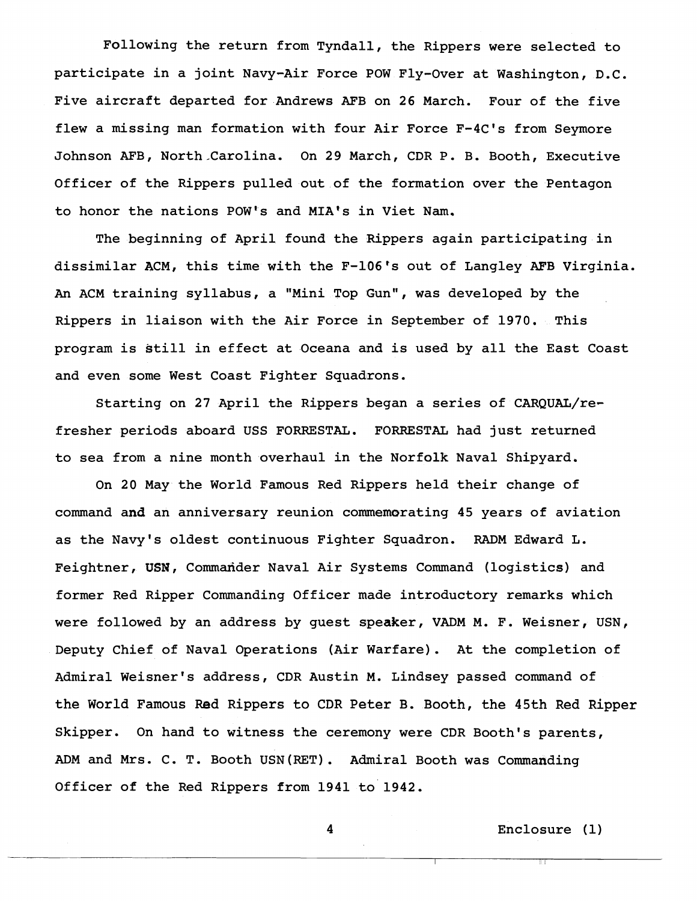Following the return from Tyndall, the Rippers were selected to participate in a joint Navy-Air Force POW Fly-Over at Washington, D.C. Five aircraft departed for Andrews AFB on 26 March. Four of the five flew a missing man formation with four Air Force F-4C's from Seymore Johnson AFB, North-Carolina, On 29 March, CDR P. B. Booth, Executive Officer of the Rippers pulled out of the formation over the Pentagon to honor the nations POW's and MIA's in Viet Nam.

The beginning of April found the Rippers again participating in dissimilar ACM, this time with the F-106's out of Langley AFB Virginia. **An** ACM training syllabus, a "Mini Top Gun", was developed by the Rippers in liaison with the Air Force in September of 1970. This program is still in effect at Oceana and is used by all the East Coast and even some West Coast Fighter Squadrons.

Starting on 27 April the Rippers began a series of CARQUAZ/refresher periods aboard USS FORRESTAL. FORRESTAL had just returned to sea from a nine month overhaul in the Norfolk Naval Shipyard.

On 20 May the World Famous Red Rippers held their change of command and an anniversary reunion commemorating 45 years of aviation as the Navy's oldest continuous Fighter Squadron. RADM Edward L. Feightner, USN, Commander Naval Air Systems Command (logistics) and former Red Ripper Commanding Officer made introductory remarks which were followed by an address by guest speaker, VADM M. F. Weisner, USN, Deputy Chief of Naval Operations (Air Warfare). At the completion of Admiral Weisner's address, CDR Austin M. Lindsey passed command of the World Famous Red Rippers to CDR Peter B. Booth, the 45th Red Ripper Skipper, On hand to witness the ceremony were CDR Booth's parents, ADM and Mrs. C. T. Booth USN(RET). Admiral Booth was Commanding Officer of the Red Rippers from 1941 to 1942.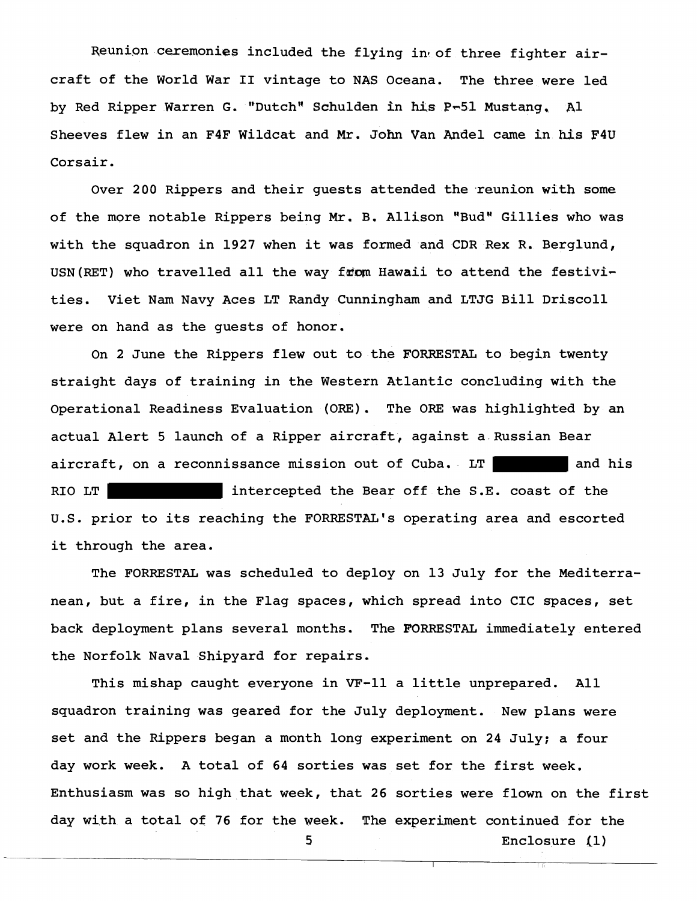Reunion ceremonies included the flying in of three fighter aircraft of the World War **I1** vintage to NAS Oceana. The three were led by Red Ripper Warren G. "DutchH Schulden in **his P-51** Mustang. A1 Sheeves flew in an F4F Wildcat and Mr. John Van Andel came in his F4U Corsair.

Over 200 Rippers and their guests attended the reunion with some of the more notable Rippers being Mr. B. Allison "Bud" Gillies who was with the squadron in 1927 when it was formed and CDR Rex R. Berglund, USN(RET) who travelled all the way from Hawaii to attend the festivities. Viet Nam Navy Aces LT Randy Cunningham and LTJG Bill Driscoll were on hand as the guests of honor.

On 2 June the Rippers flew out to the FORRESTAL to begin twenty straight days of training in the Western Atlantic concluding with the Operational Readiness Evaluation (ORE), The ORE was highlighted by an actual Alert 5 launch of a Ripper aircraft, against a Russian Bear aircraft, on a reconnissance mission out of Cuba.  $LT$  and his RIO LT intercepted the Bear off the S.E. coast of the U.S. prior to its reaching the FORRESTAL's operating area and escorted it through the area.

The FORRESTAL was scheduled to deploy on 13 July for the Mediterranean, but a fire, in the Flag spaces, which spread into CIC spaces, set back deployment plans several months. The FORRESTAL immediately entered the Norfolk Naval Shipyard for repairs.

This mishap caught everyone in VF-11 a little unprepared. All squadron training was geared for the July deployment. New plans were set and the Rippers began a month long experiment on 24 July; a four day work week. A total of 64 sorties was set for the first week. Enthusiasm was so high that week, that 26 sorties were flown on the first day with a total of 76 for the week. The experiment continued for the

--

**5** Enclosure (1)

I I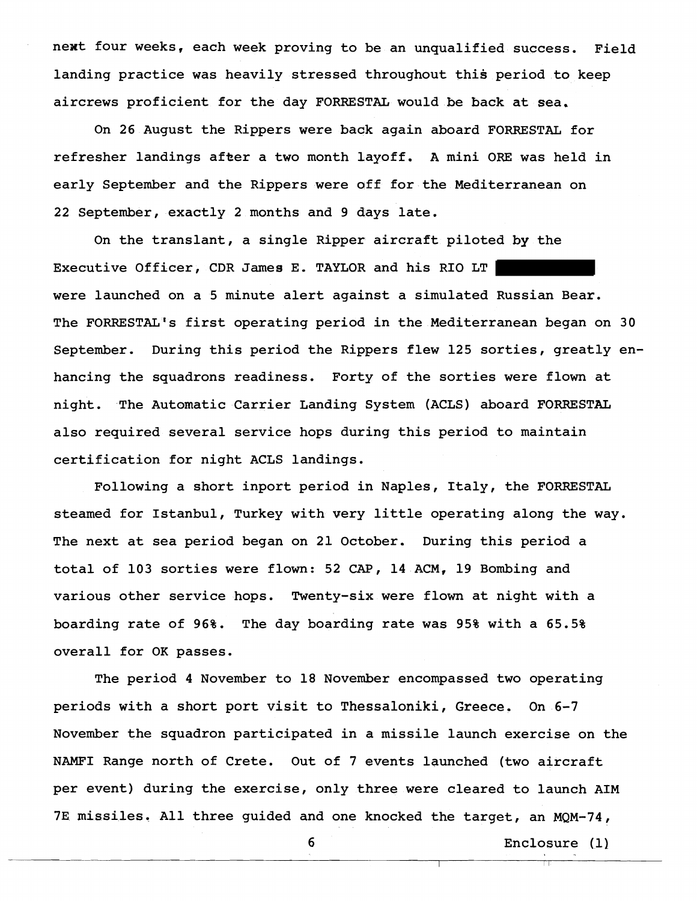next four weeks, each week proving to be an unqualified success. Field landing practice was heavily stressed throughout this period to keep aircrews proficient for the day FORRES1TAL would be back at sea,

On 26 August the Rippers were baak again aboard FORRESTAL for refresher landings after a two month layoff. **A** mini ORE was held in early September and the Rippers were off for the Mediterranean on 22 September, exactly 2 months and 9 days late.

On the translant, a single Ripper aircraft piloted by the Executive Officer, CDR James E. TAYLOR and his RIO LT were launched on a 5 minute alert against a simulated Russian Bear. The FORRESTAL's first operating period in the Mediterranean began on 30 September. During this period the Rippers flew 125 sorties, greatly enhancing the squadrons readiness. Forty of the sorties were flown at night. The Automatic Carrier Landing System (ACLS) aboard FORRESTAL also required several service hops during this period to maintain certification for night ACLS landings.

Following a short inport period in Naples, Italy, the PORRESTaL steamed for Istanbul, Turkey with very little operating along the way. The next at sea period began on 21 October. During this period a total of 103 sorties were flown: 52 CAP, 14 ACM, 19 Bombing and various other service hops. Twenty-six were flown at night with a boarding rate of 96%. The day boarding rate was 95% with a 65.5% overall for OK passes.

The period 4 November to 18 November encompassed two operating periods with a short port visit to Thessaloniki, Greece. On 6-7 November the squadron participated in a missile launch exercise on the NAMFI Range north of Crete. Out of 7 events launched (two aircraft per event) during the exercise, only three were cleared to launch AIM 7E missiles. All three guided and one knocked the target, an MQM-74,

- --

6 Enclosure (1)

I I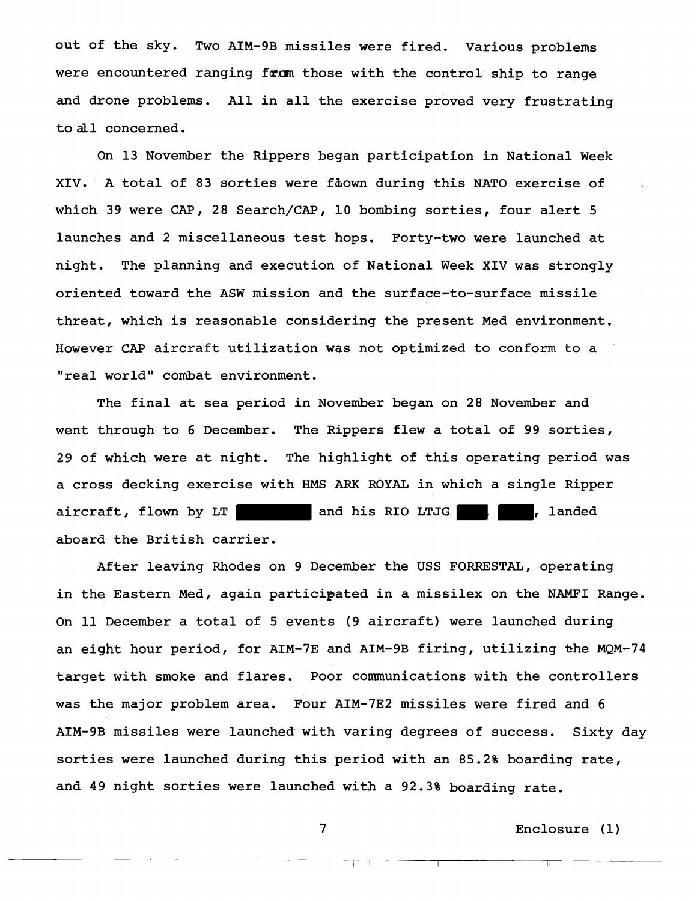out of the sky. Two AIM-9B missiles were fired. Various problems were encountered ranging from those with the control ship to range and drone problems. All in all the exercise proved very frustrating to all concerned.

On 13 November the Rippers began participation in National Week XIV. A total of 83 sorties were fibown during this NATO exercise of which 39 were CAP, 28 Search/CAP, 10 bombing sorties, four alert 5 launches and 2 miscellaneous test hops. Forty-two were launched at night. The planning and execution of National Week XIV was strongly oriented toward the ASW mission and the surface-to-surface missile threat, which is reasonable considering the present Med environment, However CAP aircraft utilization was not optimized to conform to a "real world" combat environment.

The final at sea period in November began on 28 November and went through to 6 December. The Rippers flew a total of 99 sorties, 29 of which were at night. The highlight of this operating period was a cross decking exercise with HMS ARK ROYAL in which a single Ripper aircraft, flown by  $LT$  and his RIO LTJG  $\vert$ , landed aboard the British carrier.

After leaving Rhodes on 9 December the USS FORRESTAL, operating in the Eastern Med, again participated in a missilex on the NAMFI Range. On 11 December a total of 5 events (9 aircraft) were launched during an eight hour period, for AIM-7E and AIM-9B firing, utilizing the MQM-74 target with smoke and flares. Poor communications with the controllers was the major problem area. Four AIM-7E2 missiles were fired and 6 AIM-9B missiles were launched with varing degrees of success. Sixty day sorties were launched during this period with an 85.2% boarding rate, and 49 night sorties were launched with a 92.3% boarding rate.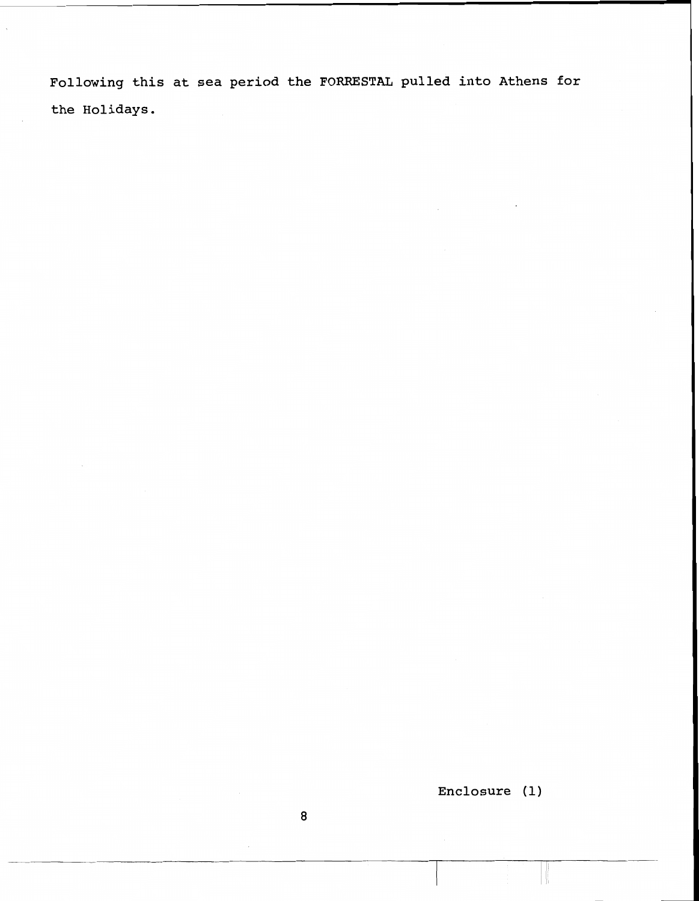**Following this at sea period the FOrnSTAL pulled into Athens for the Holidays.**